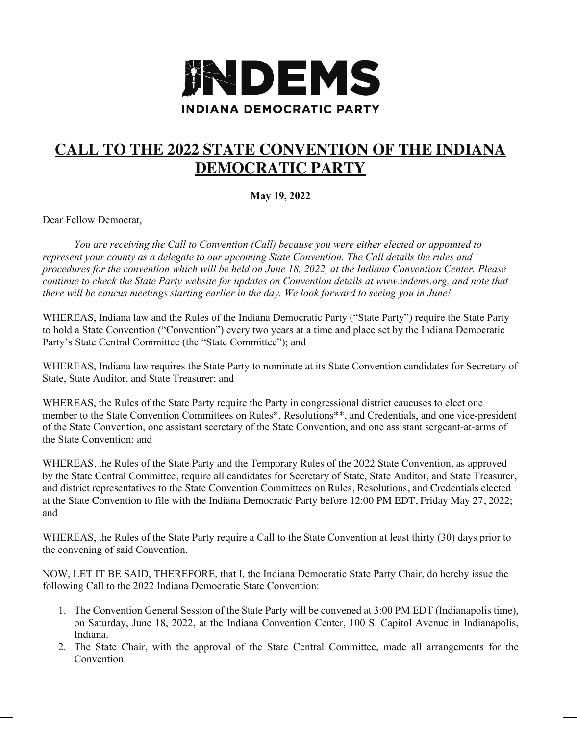

## **CALL TO THE 2022 STATE CONVENTION OF THE INDIANA DEMOCRATIC PARTY**

**May 19, 2022**

Dear Fellow Democrat,

*You are receiving the Call to Convention (Call) because you were either elected or appointed to represent your county as a delegate to our upcoming State Convention. The Call details the rules and procedures for the convention which will be held on June 18, 2022, at the Indiana Convention Center. Please continue to check the State Party website for updates on Convention details at www.indems.org, and note that there will be caucus meetings starting earlier in the day. We look forward to seeing you in June!*

WHEREAS, Indiana law and the Rules of the Indiana Democratic Party ("State Party") require the State Party to hold a State Convention ("Convention") every two years at a time and place set by the Indiana Democratic Party's State Central Committee (the "State Committee"); and

WHEREAS, Indiana law requires the State Party to nominate at its State Convention candidates for Secretary of State, State Auditor, and State Treasurer; and

WHEREAS, the Rules of the State Party require the Party in congressional district caucuses to elect one member to the State Convention Committees on Rules\*, Resolutions\*\*, and Credentials, and one vice-president of the State Convention, one assistant secretary of the State Convention, and one assistant sergeant-at-arms of the State Convention; and

WHEREAS, the Rules of the State Party and the Temporary Rules of the 2022 State Convention, as approved by the State Central Committee, require all candidates for Secretary of State, State Auditor, and State Treasurer, and district representatives to the State Convention Committees on Rules, Resolutions, and Credentials elected at the State Convention to file with the Indiana Democratic Party before 12:00 PM EDT, Friday May 27, 2022; and

WHEREAS, the Rules of the State Party require a Call to the State Convention at least thirty (30) days prior to the convening of said Convention.

NOW, LET IT BE SAID, THEREFORE, that I, the Indiana Democratic State Party Chair, do hereby issue the following Call to the 2022 Indiana Democratic State Convention:

- 1. The Convention General Session of the State Party will be convened at 3:00 PM EDT (Indianapolis time), on Saturday, June 18, 2022, at the Indiana Convention Center, 100 S. Capitol Avenue in Indianapolis, Indiana.
- 2. The State Chair, with the approval of the State Central Committee, made all arrangements for the Convention.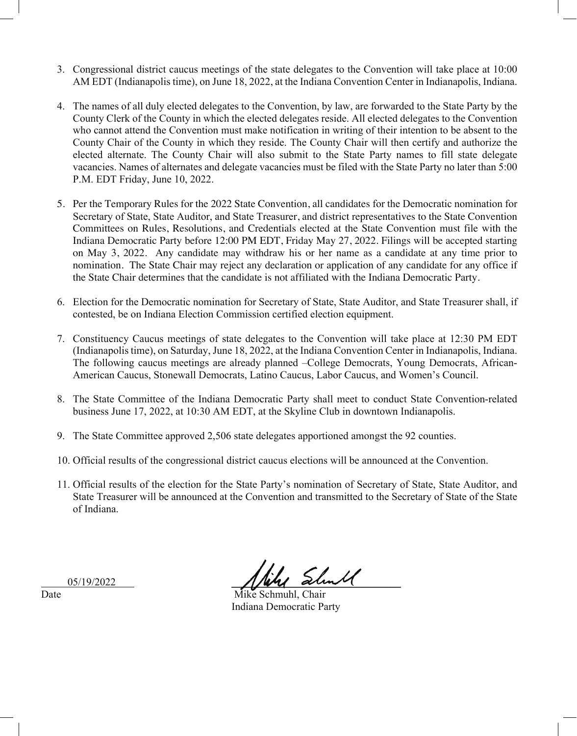- 3. Congressional district caucus meetings of the state delegates to the Convention will take place at 10:00 AM EDT (Indianapolis time), on June 18, 2022, at the Indiana Convention Center in Indianapolis, Indiana.
- 4. The names of all duly elected delegates to the Convention, by law, are forwarded to the State Party by the County Clerk of the County in which the elected delegates reside. All elected delegates to the Convention who cannot attend the Convention must make notification in writing of their intention to be absent to the County Chair of the County in which they reside. The County Chair will then certify and authorize the elected alternate. The County Chair will also submit to the State Party names to fill state delegate vacancies. Names of alternates and delegate vacancies must be filed with the State Party no later than 5:00 P.M. EDT Friday, June 10, 2022.
- 5. Per the Temporary Rules for the 2022 State Convention, all candidates for the Democratic nomination for Secretary of State, State Auditor, and State Treasurer, and district representatives to the State Convention Committees on Rules, Resolutions, and Credentials elected at the State Convention must file with the Indiana Democratic Party before 12:00 PM EDT, Friday May 27, 2022. Filings will be accepted starting on May 3, 2022. Any candidate may withdraw his or her name as a candidate at any time prior to nomination. The State Chair may reject any declaration or application of any candidate for any office if the State Chair determines that the candidate is not affiliated with the Indiana Democratic Party.
- 6. Election for the Democratic nomination for Secretary of State, State Auditor, and State Treasurer shall, if contested, be on Indiana Election Commission certified election equipment.
- 7. Constituency Caucus meetings of state delegates to the Convention will take place at 12:30 PM EDT (Indianapolis time), on Saturday, June 18, 2022, at the Indiana Convention Center in Indianapolis, Indiana. The following caucus meetings are already planned –College Democrats, Young Democrats, African-American Caucus, Stonewall Democrats, Latino Caucus, Labor Caucus, and Women's Council.
- 8. The State Committee of the Indiana Democratic Party shall meet to conduct State Convention-related business June 17, 2022, at 10:30 AM EDT, at the Skyline Club in downtown Indianapolis.
- 9. The State Committee approved 2,506 state delegates apportioned amongst the 92 counties.
- 10. Official results of the congressional district caucus elections will be announced at the Convention.
- 11. Official results of the election for the State Party's nomination of Secretary of State, State Auditor, and State Treasurer will be announced at the Convention and transmitted to the Secretary of State of the State of Indiana.

 $05/19/2022$  this should

Date Mike Schmuhl, Chair Indiana Democratic Party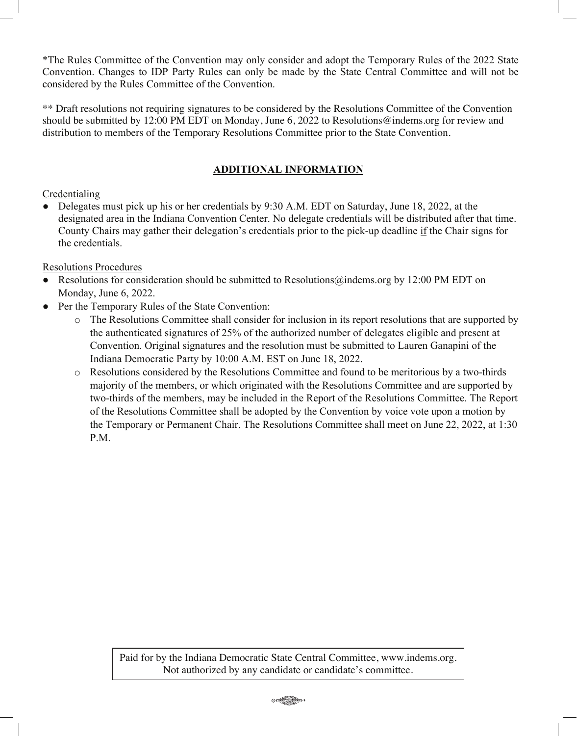\*The Rules Committee of the Convention may only consider and adopt the Temporary Rules of the 2022 State Convention. Changes to IDP Party Rules can only be made by the State Central Committee and will not be considered by the Rules Committee of the Convention.

\*\* Draft resolutions not requiring signatures to be considered by the Resolutions Committee of the Convention should be submitted by 12:00 PM EDT on Monday, June 6, 2022 to Resolutions@indems.org for review and distribution to members of the Temporary Resolutions Committee prior to the State Convention.

### **ADDITIONAL INFORMATION**

### Credentialing

Delegates must pick up his or her credentials by 9:30 A.M. EDT on Saturday, June 18, 2022, at the designated area in the Indiana Convention Center. No delegate credentials will be distributed after that time. County Chairs may gather their delegation's credentials prior to the pick-up deadline if the Chair signs for the credentials.

#### Resolutions Procedures

- Resolutions for consideration should be submitted to Resolutions@indems.org by 12:00 PM EDT on Monday, June 6, 2022.
- Per the Temporary Rules of the State Convention:
	- o The Resolutions Committee shall consider for inclusion in its report resolutions that are supported by the authenticated signatures of 25% of the authorized number of delegates eligible and present at Convention. Original signatures and the resolution must be submitted to Lauren Ganapini of the Indiana Democratic Party by 10:00 A.M. EST on June 18, 2022.
	- o Resolutions considered by the Resolutions Committee and found to be meritorious by a two-thirds majority of the members, or which originated with the Resolutions Committee and are supported by two-thirds of the members, may be included in the Report of the Resolutions Committee. The Report of the Resolutions Committee shall be adopted by the Convention by voice vote upon a motion by the Temporary or Permanent Chair. The Resolutions Committee shall meet on June 22, 2022, at 1:30 P.M.

Paid for by the Indiana Democratic State Central Committee, www.indems.org. Not authorized by any candidate or candidate's committee.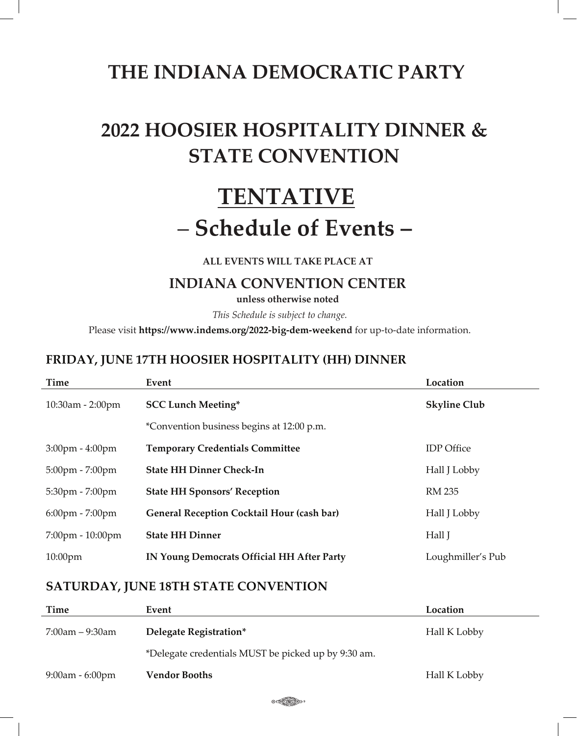# **THE INDIANA DEMOCRATIC PARTY**

# **2022 HOOSIER HOSPITALITY DINNER & STATE CONVENTION**

# **TENTATIVE** – **Schedule of Events –**

**ALL EVENTS WILL TAKE PLACE AT**

## **INDIANA CONVENTION CENTER**

**unless otherwise noted**

*This Schedule is subject to change.* 

Please visit **https://www.indems.org/2022-big-dem-weekend** for up-to-date information.

## **FRIDAY, JUNE 17TH HOOSIER HOSPITALITY (HH) DINNER**

| Time                              | Event                                             | Location            |
|-----------------------------------|---------------------------------------------------|---------------------|
| 10:30am - 2:00pm                  | <b>SCC Lunch Meeting*</b>                         | <b>Skyline Club</b> |
|                                   | *Convention business begins at 12:00 p.m.         |                     |
| $3:00 \text{pm} - 4:00 \text{pm}$ | <b>Temporary Credentials Committee</b>            | <b>IDP</b> Office   |
| $5:00 \text{pm} - 7:00 \text{pm}$ | <b>State HH Dinner Check-In</b>                   | Hall J Lobby        |
| $5:30$ pm - $7:00$ pm             | <b>State HH Sponsors' Reception</b>               | RM 235              |
| $6:00 \text{pm} - 7:00 \text{pm}$ | <b>General Reception Cocktail Hour (cash bar)</b> | Hall J Lobby        |
| 7:00pm - 10:00pm                  | <b>State HH Dinner</b>                            | Hall J              |
| $10:00$ pm                        | <b>IN Young Democrats Official HH After Party</b> | Loughmiller's Pub   |

## **SATURDAY, JUNE 18TH STATE CONVENTION**

| Time               | Event                                               | Location     |
|--------------------|-----------------------------------------------------|--------------|
| $7:00$ am – 9:30am | Delegate Registration*                              | Hall K Lobby |
|                    | *Delegate credentials MUST be picked up by 9:30 am. |              |
| $9:00$ am - 6:00pm | <b>Vendor Booths</b>                                | Hall K Lobby |